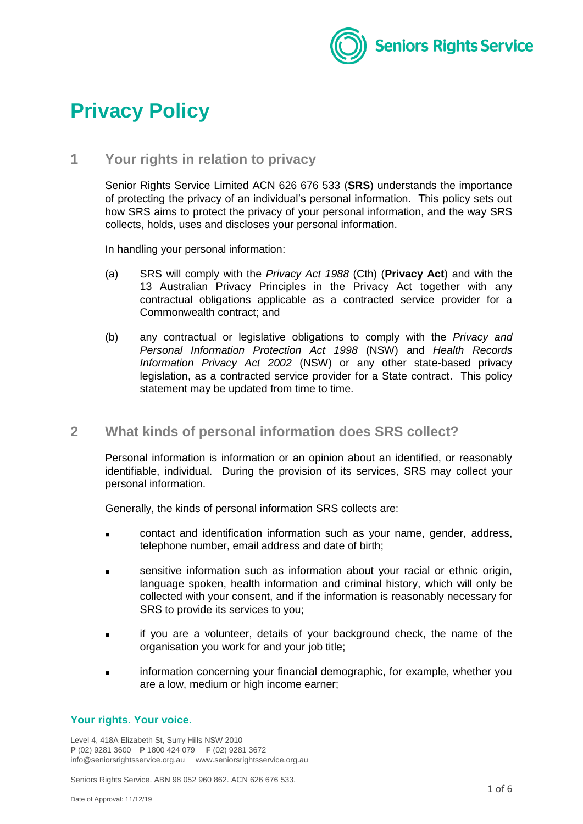

# **Privacy Policy**

# **1 Your rights in relation to privacy**

Senior Rights Service Limited ACN 626 676 533 (**SRS**) understands the importance of protecting the privacy of an individual's personal information. This policy sets out how SRS aims to protect the privacy of your personal information, and the way SRS collects, holds, uses and discloses your personal information.

In handling your personal information:

- (a) SRS will comply with the *Privacy Act 1988* (Cth) (**Privacy Act**) and with the 13 Australian Privacy Principles in the Privacy Act together with any contractual obligations applicable as a contracted service provider for a Commonwealth contract; and
- (b) any contractual or legislative obligations to comply with the *Privacy and Personal Information Protection Act 1998* (NSW) and *Health Records Information Privacy Act 2002* (NSW) or any other state-based privacy legislation, as a contracted service provider for a State contract. This policy statement may be updated from time to time.

# **2 What kinds of personal information does SRS collect?**

Personal information is information or an opinion about an identified, or reasonably identifiable, individual. During the provision of its services, SRS may collect your personal information.

Generally, the kinds of personal information SRS collects are:

- **EXECO** contact and identification information such as your name, gender, address, telephone number, email address and date of birth;
- sensitive information such as information about your racial or ethnic origin, language spoken, health information and criminal history, which will only be collected with your consent, and if the information is reasonably necessary for SRS to provide its services to you;
- if you are a volunteer, details of your background check, the name of the organisation you work for and your job title;
- information concerning your financial demographic, for example, whether you are a low, medium or high income earner;

### **Your rights. Your voice.**

Level 4, 418A Elizabeth St, Surry Hills NSW 2010 **P** (02) 9281 3600 **P** 1800 424 079 **F** (02) 9281 3672 info@seniorsrightsservice.org.au www.seniorsrightsservice.org.au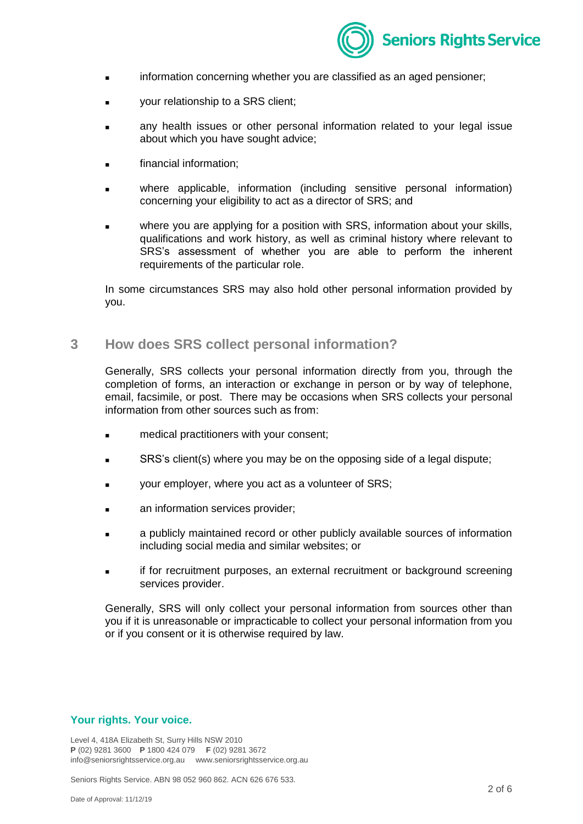

- information concerning whether you are classified as an aged pensioner;
- your relationship to a SRS client;
- any health issues or other personal information related to your legal issue about which you have sought advice;
- financial information;
- where applicable, information (including sensitive personal information) concerning your eligibility to act as a director of SRS; and
- where you are applying for a position with SRS, information about your skills, qualifications and work history, as well as criminal history where relevant to SRS's assessment of whether you are able to perform the inherent requirements of the particular role.

In some circumstances SRS may also hold other personal information provided by you.

## **3 How does SRS collect personal information?**

Generally, SRS collects your personal information directly from you, through the completion of forms, an interaction or exchange in person or by way of telephone, email, facsimile, or post. There may be occasions when SRS collects your personal information from other sources such as from:

- medical practitioners with your consent;
- **SRS's client(s) where you may be on the opposing side of a legal dispute;**
- your employer, where you act as a volunteer of SRS;
- an information services provider;
- **a** a publicly maintained record or other publicly available sources of information including social media and similar websites; or
- if for recruitment purposes, an external recruitment or background screening services provider.

Generally, SRS will only collect your personal information from sources other than you if it is unreasonable or impracticable to collect your personal information from you or if you consent or it is otherwise required by law.

#### **Your rights. Your voice.**

Level 4, 418A Elizabeth St, Surry Hills NSW 2010 **P** (02) 9281 3600 **P** 1800 424 079 **F** (02) 9281 3672 info@seniorsrightsservice.org.au www.seniorsrightsservice.org.au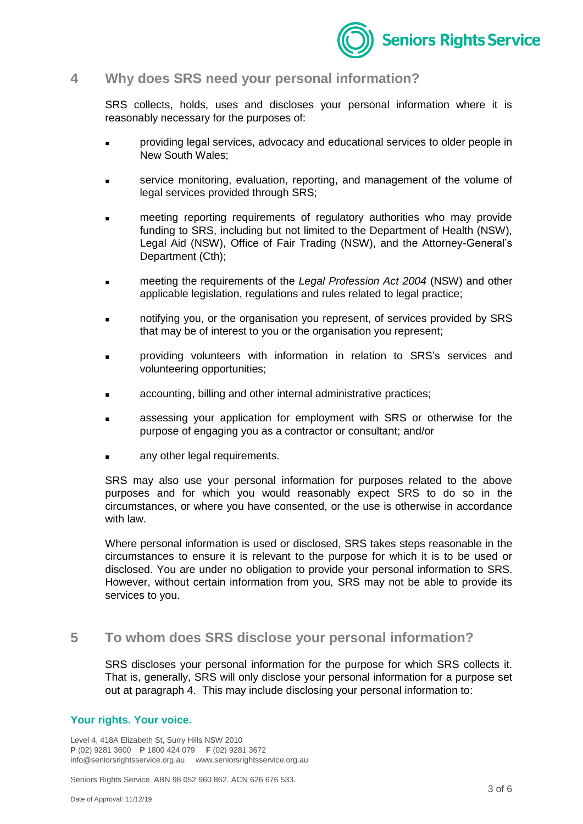

## **4 Why does SRS need your personal information?**

SRS collects, holds, uses and discloses your personal information where it is reasonably necessary for the purposes of:

- providing legal services, advocacy and educational services to older people in New South Wales;
- service monitoring, evaluation, reporting, and management of the volume of legal services provided through SRS;
- meeting reporting requirements of regulatory authorities who may provide funding to SRS, including but not limited to the Department of Health (NSW), Legal Aid (NSW), Office of Fair Trading (NSW), and the Attorney-General's Department (Cth);
- meeting the requirements of the *Legal Profession Act 2004* (NSW) and other applicable legislation, regulations and rules related to legal practice;
- notifying you, or the organisation you represent, of services provided by SRS that may be of interest to you or the organisation you represent;
- providing volunteers with information in relation to SRS's services and volunteering opportunities;
- **Example 2** accounting, billing and other internal administrative practices;
- assessing your application for employment with SRS or otherwise for the purpose of engaging you as a contractor or consultant; and/or
- any other legal requirements.

SRS may also use your personal information for purposes related to the above purposes and for which you would reasonably expect SRS to do so in the circumstances, or where you have consented, or the use is otherwise in accordance with law.

Where personal information is used or disclosed, SRS takes steps reasonable in the circumstances to ensure it is relevant to the purpose for which it is to be used or disclosed. You are under no obligation to provide your personal information to SRS. However, without certain information from you, SRS may not be able to provide its services to you.

# **5 To whom does SRS disclose your personal information?**

SRS discloses your personal information for the purpose for which SRS collects it. That is, generally, SRS will only disclose your personal information for a purpose set out at paragraph 4. This may include disclosing your personal information to:

#### **Your rights. Your voice.**

Level 4, 418A Elizabeth St, Surry Hills NSW 2010 **P** (02) 9281 3600 **P** 1800 424 079 **F** (02) 9281 3672 info@seniorsrightsservice.org.au www.seniorsrightsservice.org.au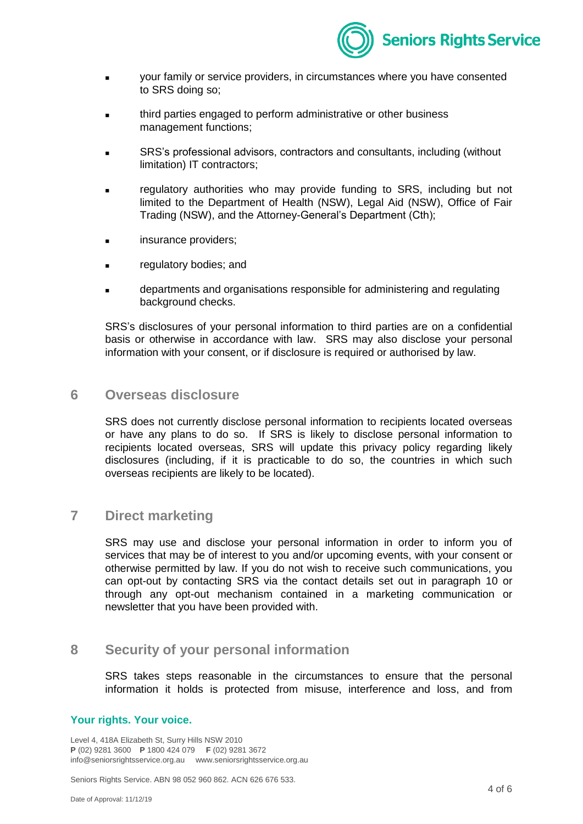

- your family or service providers, in circumstances where you have consented to SRS doing so;
- **third parties engaged to perform administrative or other business** management functions;
- SRS's professional advisors, contractors and consultants, including (without limitation) IT contractors;
- regulatory authorities who may provide funding to SRS, including but not limited to the Department of Health (NSW), Legal Aid (NSW), Office of Fair Trading (NSW), and the Attorney-General's Department (Cth);
- insurance providers;
- regulatory bodies; and
- **Example 2** departments and organisations responsible for administering and regulating background checks.

SRS's disclosures of your personal information to third parties are on a confidential basis or otherwise in accordance with law. SRS may also disclose your personal information with your consent, or if disclosure is required or authorised by law.

## **6 Overseas disclosure**

SRS does not currently disclose personal information to recipients located overseas or have any plans to do so. If SRS is likely to disclose personal information to recipients located overseas, SRS will update this privacy policy regarding likely disclosures (including, if it is practicable to do so, the countries in which such overseas recipients are likely to be located).

## **7 Direct marketing**

SRS may use and disclose your personal information in order to inform you of services that may be of interest to you and/or upcoming events, with your consent or otherwise permitted by law. If you do not wish to receive such communications, you can opt-out by contacting SRS via the contact details set out in paragraph [10](#page-4-0) or through any opt-out mechanism contained in a marketing communication or newsletter that you have been provided with.

## **8 Security of your personal information**

SRS takes steps reasonable in the circumstances to ensure that the personal information it holds is protected from misuse, interference and loss, and from

#### **Your rights. Your voice.**

Level 4, 418A Elizabeth St, Surry Hills NSW 2010 **P** (02) 9281 3600 **P** 1800 424 079 **F** (02) 9281 3672 info@seniorsrightsservice.org.au www.seniorsrightsservice.org.au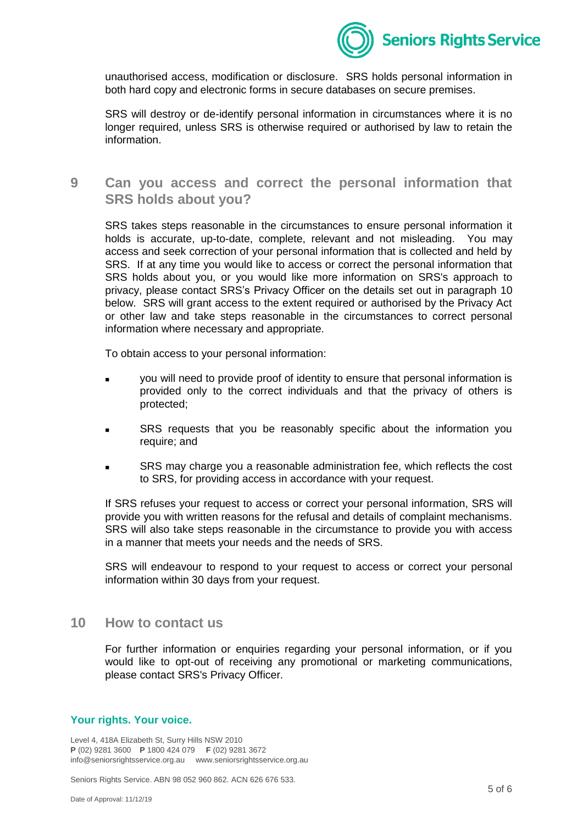

unauthorised access, modification or disclosure. SRS holds personal information in both hard copy and electronic forms in secure databases on secure premises.

SRS will destroy or de-identify personal information in circumstances where it is no longer required, unless SRS is otherwise required or authorised by law to retain the information.

**9 Can you access and correct the personal information that SRS holds about you?**

SRS takes steps reasonable in the circumstances to ensure personal information it holds is accurate, up-to-date, complete, relevant and not misleading. You may access and seek correction of your personal information that is collected and held by SRS. If at any time you would like to access or correct the personal information that SRS holds about you, or you would like more information on SRS's approach to privacy, please contact SRS's Privacy Officer on the details set out in paragraph [10](#page-4-0) below. SRS will grant access to the extent required or authorised by the Privacy Act or other law and take steps reasonable in the circumstances to correct personal information where necessary and appropriate.

To obtain access to your personal information:

- **v** you will need to provide proof of identity to ensure that personal information is provided only to the correct individuals and that the privacy of others is protected;
- **SRS** requests that you be reasonably specific about the information you require; and
- SRS may charge you a reasonable administration fee, which reflects the cost to SRS, for providing access in accordance with your request.

If SRS refuses your request to access or correct your personal information, SRS will provide you with written reasons for the refusal and details of complaint mechanisms. SRS will also take steps reasonable in the circumstance to provide you with access in a manner that meets your needs and the needs of SRS.

SRS will endeavour to respond to your request to access or correct your personal information within 30 days from your request.

## <span id="page-4-0"></span>**10 How to contact us**

For further information or enquiries regarding your personal information, or if you would like to opt-out of receiving any promotional or marketing communications, please contact SRS's Privacy Officer.

#### **Your rights. Your voice.**

Level 4, 418A Elizabeth St, Surry Hills NSW 2010 **P** (02) 9281 3600 **P** 1800 424 079 **F** (02) 9281 3672 info@seniorsrightsservice.org.au www.seniorsrightsservice.org.au